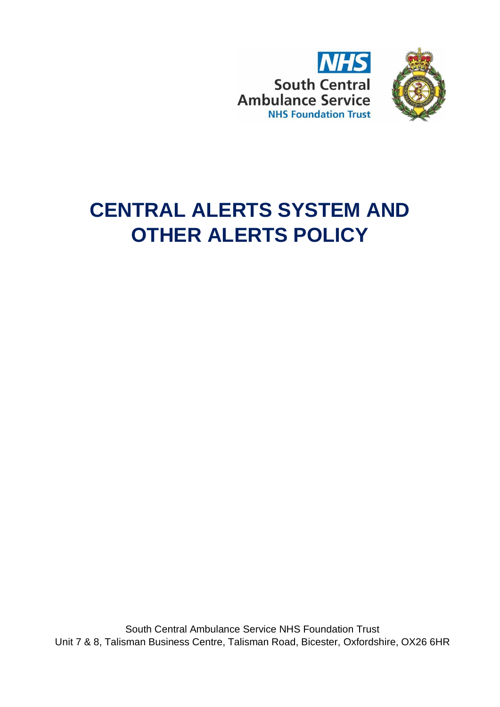



# **CENTRAL ALERTS SYSTEM AND OTHER ALERTS POLICY**

South Central Ambulance Service NHS Foundation Trust Unit 7 & 8, Talisman Business Centre, Talisman Road, Bicester, Oxfordshire, OX26 6HR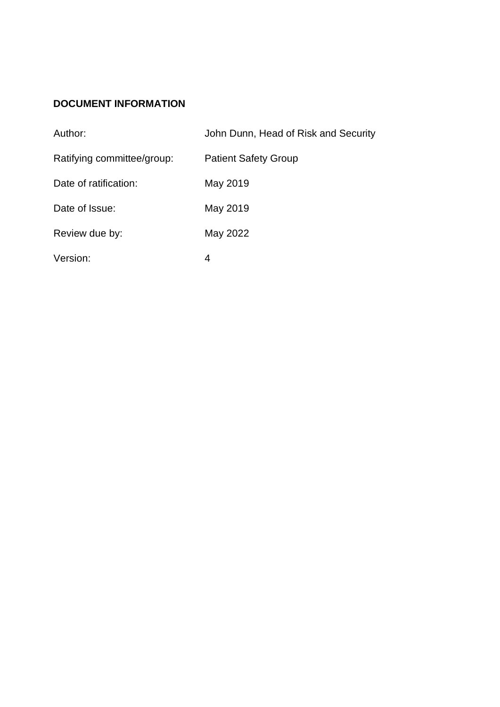#### <span id="page-1-0"></span>**DOCUMENT INFORMATION**

| Author:                    | John Dunn, Head of Risk and Security |
|----------------------------|--------------------------------------|
| Ratifying committee/group: | <b>Patient Safety Group</b>          |
| Date of ratification:      | May 2019                             |
| Date of Issue:             | May 2019                             |
| Review due by:             | May 2022                             |
| Version:                   | 4                                    |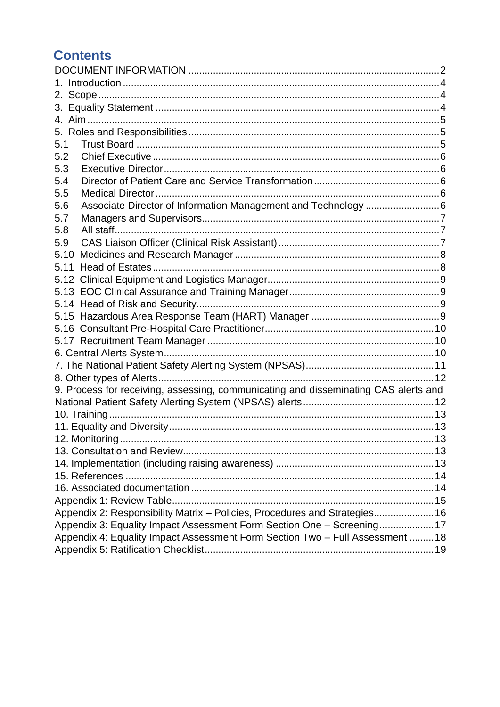# **Contents**

| 2.                                                                                                                                                  |  |  |
|-----------------------------------------------------------------------------------------------------------------------------------------------------|--|--|
|                                                                                                                                                     |  |  |
|                                                                                                                                                     |  |  |
|                                                                                                                                                     |  |  |
| 5.1                                                                                                                                                 |  |  |
| 5.2                                                                                                                                                 |  |  |
| 5.3                                                                                                                                                 |  |  |
| 5.4                                                                                                                                                 |  |  |
| 5.5                                                                                                                                                 |  |  |
| Associate Director of Information Management and Technology 6<br>5.6                                                                                |  |  |
| 5.7                                                                                                                                                 |  |  |
| 5.8                                                                                                                                                 |  |  |
| 5.9                                                                                                                                                 |  |  |
| 5.10                                                                                                                                                |  |  |
| 5.11                                                                                                                                                |  |  |
|                                                                                                                                                     |  |  |
|                                                                                                                                                     |  |  |
|                                                                                                                                                     |  |  |
|                                                                                                                                                     |  |  |
|                                                                                                                                                     |  |  |
|                                                                                                                                                     |  |  |
|                                                                                                                                                     |  |  |
|                                                                                                                                                     |  |  |
|                                                                                                                                                     |  |  |
| 9. Process for receiving, assessing, communicating and disseminating CAS alerts and                                                                 |  |  |
|                                                                                                                                                     |  |  |
|                                                                                                                                                     |  |  |
|                                                                                                                                                     |  |  |
|                                                                                                                                                     |  |  |
|                                                                                                                                                     |  |  |
|                                                                                                                                                     |  |  |
|                                                                                                                                                     |  |  |
|                                                                                                                                                     |  |  |
|                                                                                                                                                     |  |  |
| Appendix 2: Responsibility Matrix - Policies, Procedures and Strategies 16<br>Appendix 3: Equality Impact Assessment Form Section One - Screening17 |  |  |
| Appendix 4: Equality Impact Assessment Form Section Two - Full Assessment  18                                                                       |  |  |
|                                                                                                                                                     |  |  |
|                                                                                                                                                     |  |  |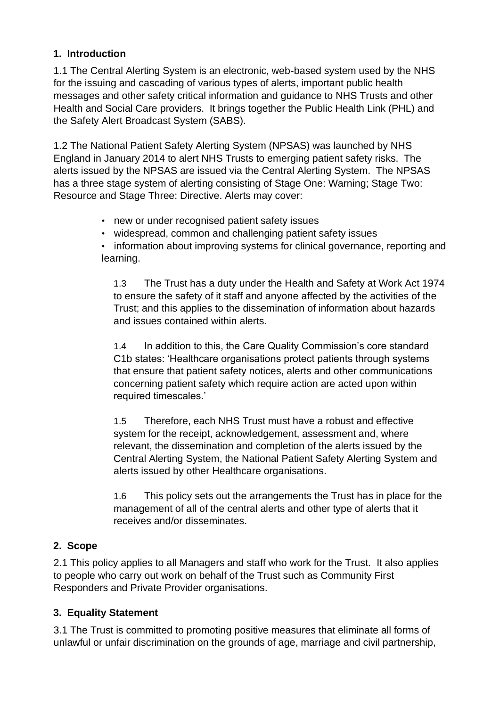#### <span id="page-3-0"></span>**1. Introduction**

1.1 The Central Alerting System is an electronic, web-based system used by the NHS for the issuing and cascading of various types of alerts, important public health messages and other safety critical information and guidance to NHS Trusts and other Health and Social Care providers. It brings together the Public Health Link (PHL) and the Safety Alert Broadcast System (SABS).

1.2 The National Patient Safety Alerting System (NPSAS) was launched by NHS England in January 2014 to alert NHS Trusts to emerging patient safety risks. The alerts issued by the NPSAS are issued via the Central Alerting System. The NPSAS has a three stage system of alerting consisting of Stage One: Warning; Stage Two: Resource and Stage Three: Directive. Alerts may cover:

- new or under recognised patient safety issues
- widespread, common and challenging patient safety issues

• information about improving systems for clinical governance, reporting and learning.

1.3 The Trust has a duty under the Health and Safety at Work Act 1974 to ensure the safety of it staff and anyone affected by the activities of the Trust; and this applies to the dissemination of information about hazards and issues contained within alerts.

1.4 In addition to this, the Care Quality Commission's core standard C1b states: 'Healthcare organisations protect patients through systems that ensure that patient safety notices, alerts and other communications concerning patient safety which require action are acted upon within required timescales.'

1.5 Therefore, each NHS Trust must have a robust and effective system for the receipt, acknowledgement, assessment and, where relevant, the dissemination and completion of the alerts issued by the Central Alerting System, the National Patient Safety Alerting System and alerts issued by other Healthcare organisations.

1.6 This policy sets out the arrangements the Trust has in place for the management of all of the central alerts and other type of alerts that it receives and/or disseminates.

#### <span id="page-3-1"></span>**2. Scope**

2.1 This policy applies to all Managers and staff who work for the Trust. It also applies to people who carry out work on behalf of the Trust such as Community First Responders and Private Provider organisations.

#### <span id="page-3-2"></span>**3. Equality Statement**

3.1 The Trust is committed to promoting positive measures that eliminate all forms of unlawful or unfair discrimination on the grounds of age, marriage and civil partnership,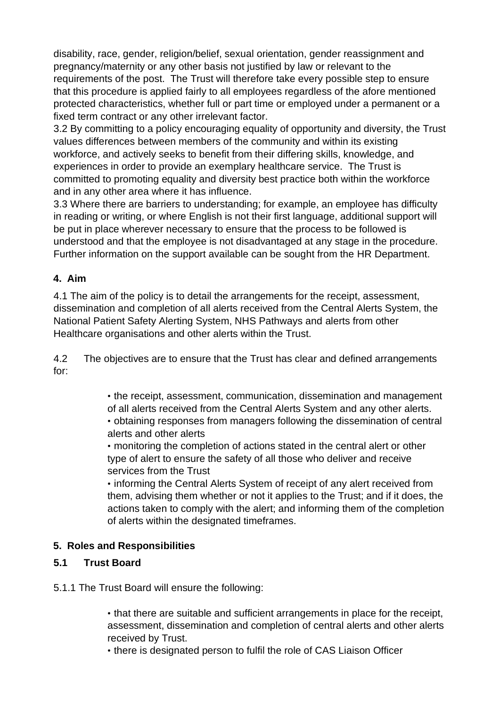disability, race, gender, religion/belief, sexual orientation, gender reassignment and pregnancy/maternity or any other basis not justified by law or relevant to the requirements of the post. The Trust will therefore take every possible step to ensure that this procedure is applied fairly to all employees regardless of the afore mentioned protected characteristics, whether full or part time or employed under a permanent or a fixed term contract or any other irrelevant factor.

3.2 By committing to a policy encouraging equality of opportunity and diversity, the Trust values differences between members of the community and within its existing workforce, and actively seeks to benefit from their differing skills, knowledge, and experiences in order to provide an exemplary healthcare service. The Trust is committed to promoting equality and diversity best practice both within the workforce and in any other area where it has influence.

3.3 Where there are barriers to understanding; for example, an employee has difficulty in reading or writing, or where English is not their first language, additional support will be put in place wherever necessary to ensure that the process to be followed is understood and that the employee is not disadvantaged at any stage in the procedure. Further information on the support available can be sought from the HR Department.

#### <span id="page-4-0"></span>**4. Aim**

4.1 The aim of the policy is to detail the arrangements for the receipt, assessment, dissemination and completion of all alerts received from the Central Alerts System, the National Patient Safety Alerting System, NHS Pathways and alerts from other Healthcare organisations and other alerts within the Trust.

4.2 The objectives are to ensure that the Trust has clear and defined arrangements for:

> • the receipt, assessment, communication, dissemination and management of all alerts received from the Central Alerts System and any other alerts.

> • obtaining responses from managers following the dissemination of central alerts and other alerts

• monitoring the completion of actions stated in the central alert or other type of alert to ensure the safety of all those who deliver and receive services from the Trust

• informing the Central Alerts System of receipt of any alert received from them, advising them whether or not it applies to the Trust; and if it does, the actions taken to comply with the alert; and informing them of the completion of alerts within the designated timeframes.

#### <span id="page-4-1"></span>**5. Roles and Responsibilities**

#### <span id="page-4-2"></span>**5.1 Trust Board**

5.1.1 The Trust Board will ensure the following:

• that there are suitable and sufficient arrangements in place for the receipt, assessment, dissemination and completion of central alerts and other alerts received by Trust.

• there is designated person to fulfil the role of CAS Liaison Officer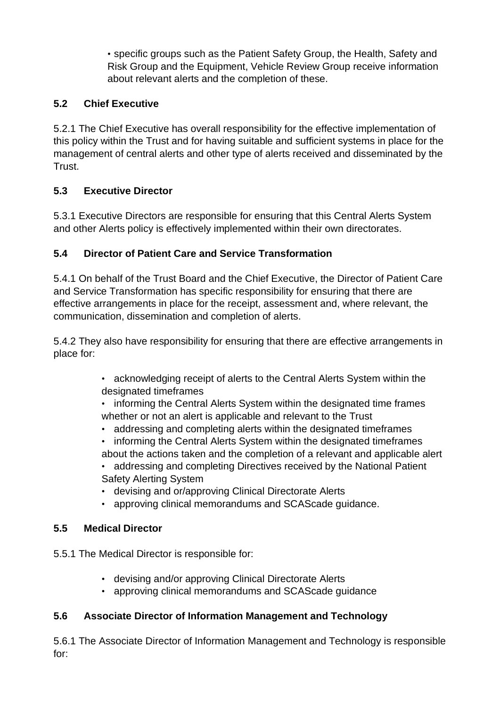• specific groups such as the Patient Safety Group, the Health, Safety and Risk Group and the Equipment, Vehicle Review Group receive information about relevant alerts and the completion of these.

#### <span id="page-5-0"></span>**5.2 Chief Executive**

5.2.1 The Chief Executive has overall responsibility for the effective implementation of this policy within the Trust and for having suitable and sufficient systems in place for the management of central alerts and other type of alerts received and disseminated by the Trust.

# <span id="page-5-1"></span>**5.3 Executive Director**

5.3.1 Executive Directors are responsible for ensuring that this Central Alerts System and other Alerts policy is effectively implemented within their own directorates.

# <span id="page-5-2"></span>**5.4 Director of Patient Care and Service Transformation**

5.4.1 On behalf of the Trust Board and the Chief Executive, the Director of Patient Care and Service Transformation has specific responsibility for ensuring that there are effective arrangements in place for the receipt, assessment and, where relevant, the communication, dissemination and completion of alerts.

5.4.2 They also have responsibility for ensuring that there are effective arrangements in place for:

- acknowledging receipt of alerts to the Central Alerts System within the designated timeframes
- informing the Central Alerts System within the designated time frames whether or not an alert is applicable and relevant to the Trust
- addressing and completing alerts within the designated timeframes • informing the Central Alerts System within the designated timeframes about the actions taken and the completion of a relevant and applicable alert
- addressing and completing Directives received by the National Patient Safety Alerting System
- devising and or/approving Clinical Directorate Alerts
- approving clinical memorandums and SCAScade guidance.

# <span id="page-5-3"></span>**5.5 Medical Director**

5.5.1 The Medical Director is responsible for:

- devising and/or approving Clinical Directorate Alerts
- approving clinical memorandums and SCAScade guidance

# <span id="page-5-4"></span>**5.6 Associate Director of Information Management and Technology**

5.6.1 The Associate Director of Information Management and Technology is responsible for: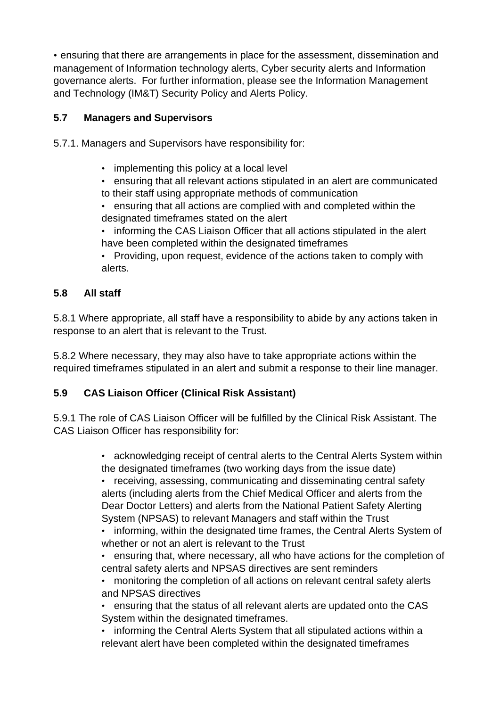• ensuring that there are arrangements in place for the assessment, dissemination and management of Information technology alerts, Cyber security alerts and Information governance alerts. For further information, please see the Information Management and Technology (IM&T) Security Policy and Alerts Policy.

#### <span id="page-6-0"></span>**5.7 Managers and Supervisors**

5.7.1. Managers and Supervisors have responsibility for:

- implementing this policy at a local level
- ensuring that all relevant actions stipulated in an alert are communicated to their staff using appropriate methods of communication

• ensuring that all actions are complied with and completed within the designated timeframes stated on the alert

• informing the CAS Liaison Officer that all actions stipulated in the alert have been completed within the designated timeframes

• Providing, upon request, evidence of the actions taken to comply with alerts.

#### <span id="page-6-1"></span>**5.8 All staff**

5.8.1 Where appropriate, all staff have a responsibility to abide by any actions taken in response to an alert that is relevant to the Trust.

5.8.2 Where necessary, they may also have to take appropriate actions within the required timeframes stipulated in an alert and submit a response to their line manager.

#### <span id="page-6-2"></span>**5.9 CAS Liaison Officer (Clinical Risk Assistant)**

5.9.1 The role of CAS Liaison Officer will be fulfilled by the Clinical Risk Assistant. The CAS Liaison Officer has responsibility for:

> • acknowledging receipt of central alerts to the Central Alerts System within the designated timeframes (two working days from the issue date)

• receiving, assessing, communicating and disseminating central safety alerts (including alerts from the Chief Medical Officer and alerts from the Dear Doctor Letters) and alerts from the National Patient Safety Alerting System (NPSAS) to relevant Managers and staff within the Trust

- informing, within the designated time frames, the Central Alerts System of whether or not an alert is relevant to the Trust
- ensuring that, where necessary, all who have actions for the completion of central safety alerts and NPSAS directives are sent reminders
- monitoring the completion of all actions on relevant central safety alerts and NPSAS directives
- ensuring that the status of all relevant alerts are updated onto the CAS System within the designated timeframes.
- informing the Central Alerts System that all stipulated actions within a relevant alert have been completed within the designated timeframes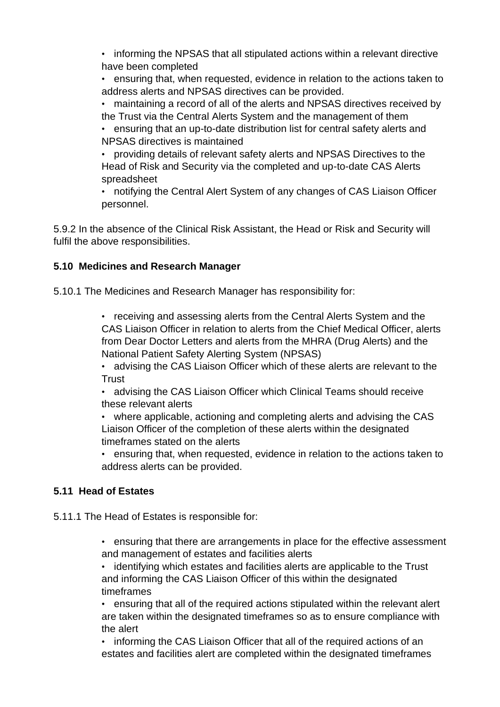• informing the NPSAS that all stipulated actions within a relevant directive have been completed

• ensuring that, when requested, evidence in relation to the actions taken to address alerts and NPSAS directives can be provided.

• maintaining a record of all of the alerts and NPSAS directives received by the Trust via the Central Alerts System and the management of them

• ensuring that an up-to-date distribution list for central safety alerts and NPSAS directives is maintained

• providing details of relevant safety alerts and NPSAS Directives to the Head of Risk and Security via the completed and up-to-date CAS Alerts spreadsheet

• notifying the Central Alert System of any changes of CAS Liaison Officer personnel.

5.9.2 In the absence of the Clinical Risk Assistant, the Head or Risk and Security will fulfil the above responsibilities.

#### <span id="page-7-0"></span>**5.10 Medicines and Research Manager**

5.10.1 The Medicines and Research Manager has responsibility for:

• receiving and assessing alerts from the Central Alerts System and the CAS Liaison Officer in relation to alerts from the Chief Medical Officer, alerts from Dear Doctor Letters and alerts from the MHRA (Drug Alerts) and the National Patient Safety Alerting System (NPSAS)

• advising the CAS Liaison Officer which of these alerts are relevant to the **Trust** 

• advising the CAS Liaison Officer which Clinical Teams should receive these relevant alerts

• where applicable, actioning and completing alerts and advising the CAS Liaison Officer of the completion of these alerts within the designated timeframes stated on the alerts

• ensuring that, when requested, evidence in relation to the actions taken to address alerts can be provided.

#### <span id="page-7-1"></span>**5.11 Head of Estates**

5.11.1 The Head of Estates is responsible for:

• ensuring that there are arrangements in place for the effective assessment and management of estates and facilities alerts

• identifying which estates and facilities alerts are applicable to the Trust and informing the CAS Liaison Officer of this within the designated timeframes

• ensuring that all of the required actions stipulated within the relevant alert are taken within the designated timeframes so as to ensure compliance with the alert

• informing the CAS Liaison Officer that all of the required actions of an estates and facilities alert are completed within the designated timeframes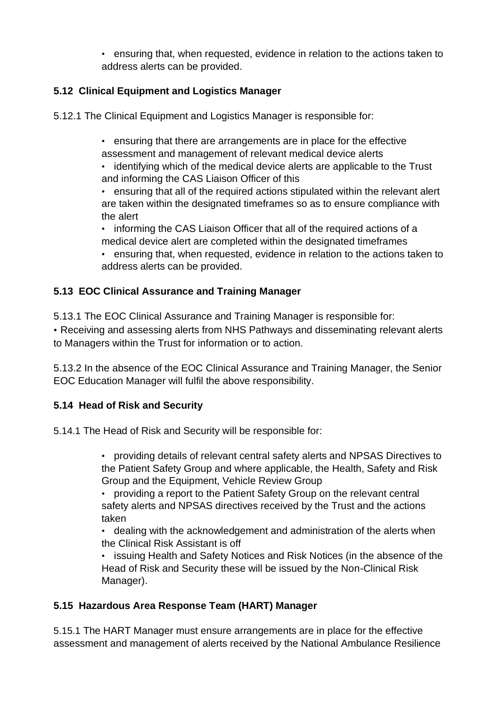• ensuring that, when requested, evidence in relation to the actions taken to address alerts can be provided.

## <span id="page-8-0"></span>**5.12 Clinical Equipment and Logistics Manager**

5.12.1 The Clinical Equipment and Logistics Manager is responsible for:

- ensuring that there are arrangements are in place for the effective assessment and management of relevant medical device alerts
- identifying which of the medical device alerts are applicable to the Trust and informing the CAS Liaison Officer of this
- ensuring that all of the required actions stipulated within the relevant alert are taken within the designated timeframes so as to ensure compliance with the alert
- informing the CAS Liaison Officer that all of the required actions of a medical device alert are completed within the designated timeframes
- ensuring that, when requested, evidence in relation to the actions taken to address alerts can be provided.

### <span id="page-8-1"></span>**5.13 EOC Clinical Assurance and Training Manager**

5.13.1 The EOC Clinical Assurance and Training Manager is responsible for:

• Receiving and assessing alerts from NHS Pathways and disseminating relevant alerts to Managers within the Trust for information or to action.

5.13.2 In the absence of the EOC Clinical Assurance and Training Manager, the Senior EOC Education Manager will fulfil the above responsibility.

#### <span id="page-8-2"></span>**5.14 Head of Risk and Security**

5.14.1 The Head of Risk and Security will be responsible for:

• providing details of relevant central safety alerts and NPSAS Directives to the Patient Safety Group and where applicable, the Health, Safety and Risk Group and the Equipment, Vehicle Review Group

• providing a report to the Patient Safety Group on the relevant central safety alerts and NPSAS directives received by the Trust and the actions taken

• dealing with the acknowledgement and administration of the alerts when the Clinical Risk Assistant is off

• issuing Health and Safety Notices and Risk Notices (in the absence of the Head of Risk and Security these will be issued by the Non-Clinical Risk Manager).

#### <span id="page-8-3"></span>**5.15 Hazardous Area Response Team (HART) Manager**

5.15.1 The HART Manager must ensure arrangements are in place for the effective assessment and management of alerts received by the National Ambulance Resilience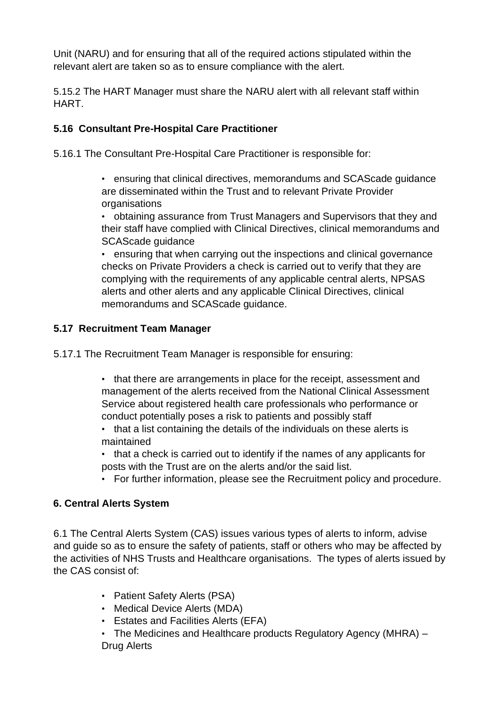Unit (NARU) and for ensuring that all of the required actions stipulated within the relevant alert are taken so as to ensure compliance with the alert.

5.15.2 The HART Manager must share the NARU alert with all relevant staff within HART.

#### <span id="page-9-0"></span>**5.16 Consultant Pre-Hospital Care Practitioner**

5.16.1 The Consultant Pre-Hospital Care Practitioner is responsible for:

• ensuring that clinical directives, memorandums and SCAScade guidance are disseminated within the Trust and to relevant Private Provider organisations

• obtaining assurance from Trust Managers and Supervisors that they and their staff have complied with Clinical Directives, clinical memorandums and SCAScade guidance

• ensuring that when carrying out the inspections and clinical governance checks on Private Providers a check is carried out to verify that they are complying with the requirements of any applicable central alerts, NPSAS alerts and other alerts and any applicable Clinical Directives, clinical memorandums and SCAScade guidance.

#### <span id="page-9-1"></span>**5.17 Recruitment Team Manager**

5.17.1 The Recruitment Team Manager is responsible for ensuring:

• that there are arrangements in place for the receipt, assessment and management of the alerts received from the National Clinical Assessment Service about registered health care professionals who performance or conduct potentially poses a risk to patients and possibly staff

• that a list containing the details of the individuals on these alerts is maintained

• that a check is carried out to identify if the names of any applicants for posts with the Trust are on the alerts and/or the said list.

• For further information, please see the Recruitment policy and procedure.

#### <span id="page-9-2"></span>**6. Central Alerts System**

6.1 The Central Alerts System (CAS) issues various types of alerts to inform, advise and guide so as to ensure the safety of patients, staff or others who may be affected by the activities of NHS Trusts and Healthcare organisations. The types of alerts issued by the CAS consist of:

- Patient Safety Alerts (PSA)
- Medical Device Alerts (MDA)
- Estates and Facilities Alerts (EFA)

• The Medicines and Healthcare products Regulatory Agency (MHRA) – Drug Alerts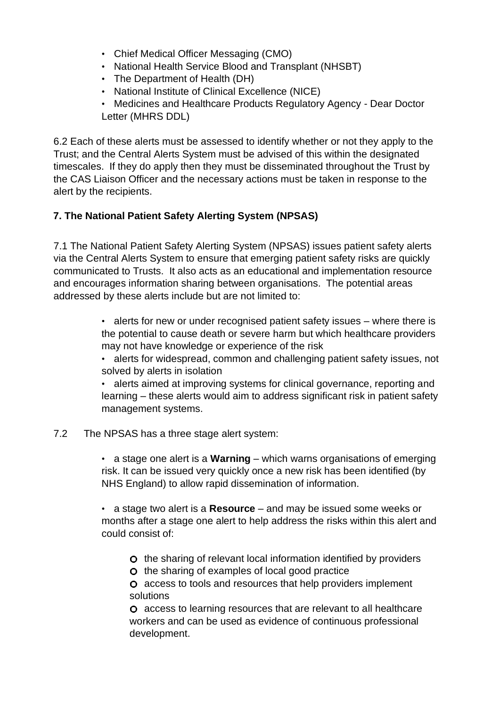- Chief Medical Officer Messaging (CMO)
- National Health Service Blood and Transplant (NHSBT)
- The Department of Health (DH)
- National Institute of Clinical Excellence (NICE)

• Medicines and Healthcare Products Regulatory Agency - Dear Doctor Letter (MHRS DDL)

6.2 Each of these alerts must be assessed to identify whether or not they apply to the Trust; and the Central Alerts System must be advised of this within the designated timescales. If they do apply then they must be disseminated throughout the Trust by the CAS Liaison Officer and the necessary actions must be taken in response to the alert by the recipients.

#### <span id="page-10-0"></span>**7. The National Patient Safety Alerting System (NPSAS)**

7.1 The National Patient Safety Alerting System (NPSAS) issues patient safety alerts via the Central Alerts System to ensure that emerging patient safety risks are quickly communicated to Trusts. It also acts as an educational and implementation resource and encourages information sharing between organisations. The potential areas addressed by these alerts include but are not limited to:

> • alerts for new or under recognised patient safety issues – where there is the potential to cause death or severe harm but which healthcare providers may not have knowledge or experience of the risk

> • alerts for widespread, common and challenging patient safety issues, not solved by alerts in isolation

> • alerts aimed at improving systems for clinical governance, reporting and learning – these alerts would aim to address significant risk in patient safety management systems.

#### 7.2 The NPSAS has a three stage alert system:

• a stage one alert is a **Warning** – which warns organisations of emerging risk. It can be issued very quickly once a new risk has been identified (by NHS England) to allow rapid dissemination of information.

• a stage two alert is a **Resource** – and may be issued some weeks or months after a stage one alert to help address the risks within this alert and could consist of:

- **O** the sharing of relevant local information identified by providers
- **O** the sharing of examples of local good practice
- access to tools and resources that help providers implement solutions

access to learning resources that are relevant to all healthcare workers and can be used as evidence of continuous professional development.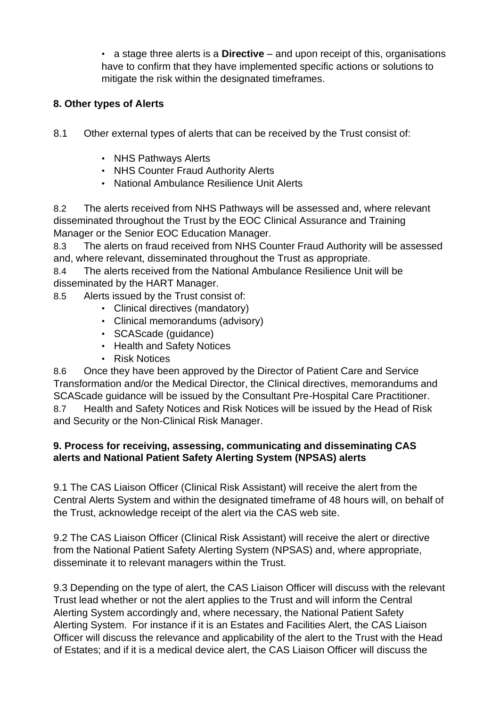• a stage three alerts is a **Directive** – and upon receipt of this, organisations have to confirm that they have implemented specific actions or solutions to mitigate the risk within the designated timeframes.

#### <span id="page-11-0"></span>**8. Other types of Alerts**

8.1 Other external types of alerts that can be received by the Trust consist of:

- NHS Pathways Alerts
- NHS Counter Fraud Authority Alerts
- National Ambulance Resilience Unit Alerts

8.2 The alerts received from NHS Pathways will be assessed and, where relevant disseminated throughout the Trust by the EOC Clinical Assurance and Training Manager or the Senior EOC Education Manager.

8.3 The alerts on fraud received from NHS Counter Fraud Authority will be assessed and, where relevant, disseminated throughout the Trust as appropriate.

8.4 The alerts received from the National Ambulance Resilience Unit will be disseminated by the HART Manager.

- 8.5 Alerts issued by the Trust consist of:
	- Clinical directives (mandatory)
	- Clinical memorandums (advisory)
	- SCAScade (guidance)
	- Health and Safety Notices
	- Risk Notices

8.6 Once they have been approved by the Director of Patient Care and Service Transformation and/or the Medical Director, the Clinical directives, memorandums and SCAScade guidance will be issued by the Consultant Pre-Hospital Care Practitioner. 8.7 Health and Safety Notices and Risk Notices will be issued by the Head of Risk and Security or the Non-Clinical Risk Manager.

#### <span id="page-11-1"></span>**9. Process for receiving, assessing, communicating and disseminating CAS alerts and National Patient Safety Alerting System (NPSAS) alerts**

9.1 The CAS Liaison Officer (Clinical Risk Assistant) will receive the alert from the Central Alerts System and within the designated timeframe of 48 hours will, on behalf of the Trust, acknowledge receipt of the alert via the CAS web site.

9.2 The CAS Liaison Officer (Clinical Risk Assistant) will receive the alert or directive from the National Patient Safety Alerting System (NPSAS) and, where appropriate, disseminate it to relevant managers within the Trust.

9.3 Depending on the type of alert, the CAS Liaison Officer will discuss with the relevant Trust lead whether or not the alert applies to the Trust and will inform the Central Alerting System accordingly and, where necessary, the National Patient Safety Alerting System. For instance if it is an Estates and Facilities Alert, the CAS Liaison Officer will discuss the relevance and applicability of the alert to the Trust with the Head of Estates; and if it is a medical device alert, the CAS Liaison Officer will discuss the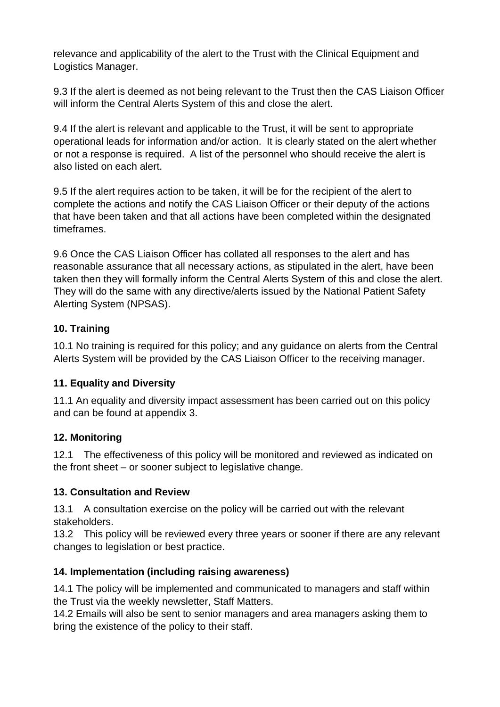relevance and applicability of the alert to the Trust with the Clinical Equipment and Logistics Manager.

9.3 If the alert is deemed as not being relevant to the Trust then the CAS Liaison Officer will inform the Central Alerts System of this and close the alert.

9.4 If the alert is relevant and applicable to the Trust, it will be sent to appropriate operational leads for information and/or action. It is clearly stated on the alert whether or not a response is required. A list of the personnel who should receive the alert is also listed on each alert.

9.5 If the alert requires action to be taken, it will be for the recipient of the alert to complete the actions and notify the CAS Liaison Officer or their deputy of the actions that have been taken and that all actions have been completed within the designated timeframes.

9.6 Once the CAS Liaison Officer has collated all responses to the alert and has reasonable assurance that all necessary actions, as stipulated in the alert, have been taken then they will formally inform the Central Alerts System of this and close the alert. They will do the same with any directive/alerts issued by the National Patient Safety Alerting System (NPSAS).

#### <span id="page-12-0"></span>**10. Training**

10.1 No training is required for this policy; and any guidance on alerts from the Central Alerts System will be provided by the CAS Liaison Officer to the receiving manager.

#### <span id="page-12-1"></span>**11. Equality and Diversity**

11.1 An equality and diversity impact assessment has been carried out on this policy and can be found at appendix 3.

#### <span id="page-12-2"></span>**12. Monitoring**

12.1 The effectiveness of this policy will be monitored and reviewed as indicated on the front sheet – or sooner subject to legislative change.

#### <span id="page-12-3"></span>**13. Consultation and Review**

13.1 A consultation exercise on the policy will be carried out with the relevant stakeholders.

13.2 This policy will be reviewed every three years or sooner if there are any relevant changes to legislation or best practice.

#### <span id="page-12-4"></span>**14. Implementation (including raising awareness)**

14.1 The policy will be implemented and communicated to managers and staff within the Trust via the weekly newsletter, Staff Matters.

14.2 Emails will also be sent to senior managers and area managers asking them to bring the existence of the policy to their staff.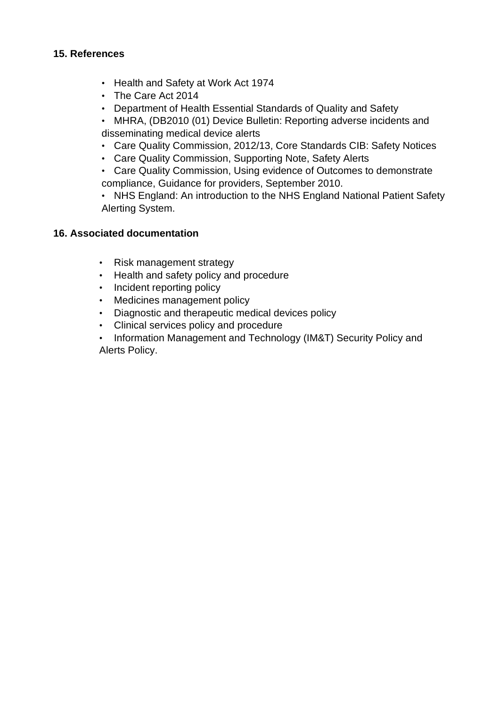#### <span id="page-13-0"></span>**15. References**

- Health and Safety at Work Act 1974
- The Care Act 2014
- Department of Health Essential Standards of Quality and Safety
- MHRA, (DB2010 (01) Device Bulletin: Reporting adverse incidents and disseminating medical device alerts
- Care Quality Commission, 2012/13, Core Standards CIB: Safety Notices
- Care Quality Commission, Supporting Note, Safety Alerts
- Care Quality Commission, Using evidence of Outcomes to demonstrate compliance, Guidance for providers, September 2010.

• NHS England: An introduction to the NHS England National Patient Safety Alerting System.

#### <span id="page-13-1"></span>**16. Associated documentation**

- Risk management strategy
- Health and safety policy and procedure
- Incident reporting policy
- Medicines management policy
- Diagnostic and therapeutic medical devices policy
- Clinical services policy and procedure
- Information Management and Technology (IM&T) Security Policy and Alerts Policy.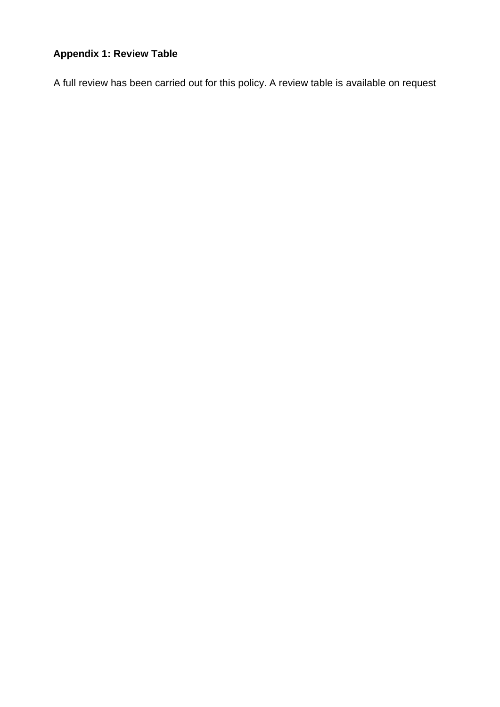# <span id="page-14-0"></span>**Appendix 1: Review Table**

A full review has been carried out for this policy. A review table is available on request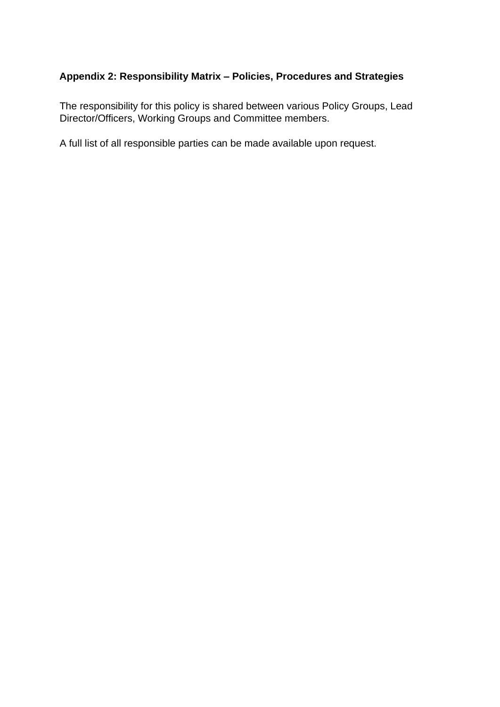#### <span id="page-15-0"></span>**Appendix 2: Responsibility Matrix – Policies, Procedures and Strategies**

The responsibility for this policy is shared between various Policy Groups, Lead Director/Officers, Working Groups and Committee members.

A full list of all responsible parties can be made available upon request.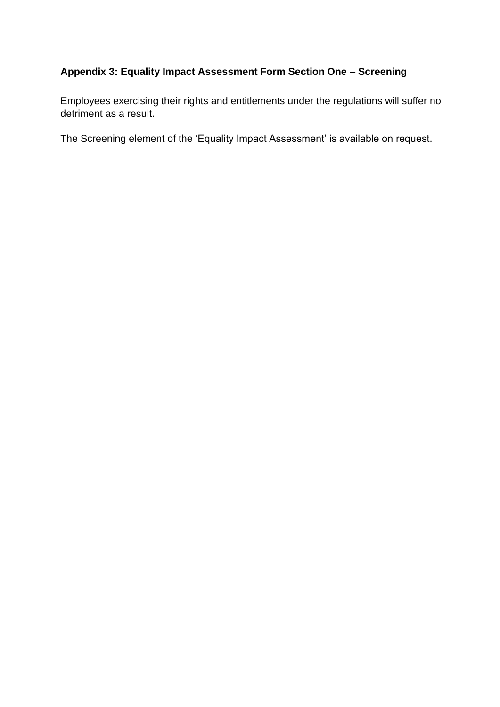#### <span id="page-16-0"></span>**Appendix 3: Equality Impact Assessment Form Section One – Screening**

Employees exercising their rights and entitlements under the regulations will suffer no detriment as a result.

The Screening element of the 'Equality Impact Assessment' is available on request.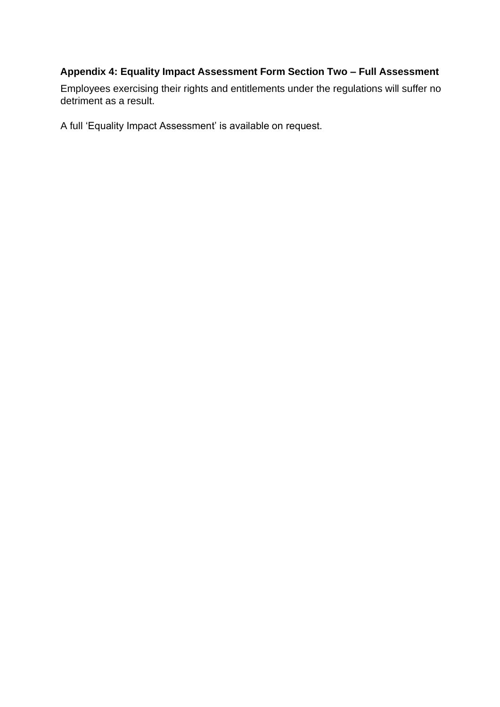#### <span id="page-17-0"></span>**Appendix 4: Equality Impact Assessment Form Section Two – Full Assessment**

Employees exercising their rights and entitlements under the regulations will suffer no detriment as a result.

A full 'Equality Impact Assessment' is available on request.